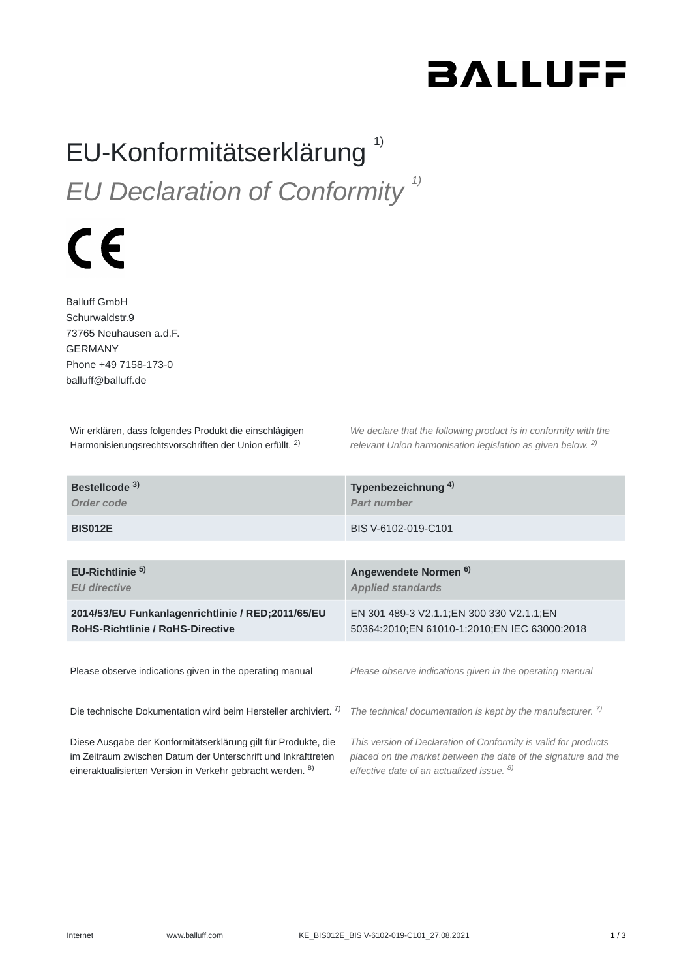# **BALLUFF**

#### EU-Konformitätserklärung<sup>1)</sup> *EU Declaration of Conformity 1)*

# $\epsilon$

Balluff GmbH Schurwaldstr.9 73765 Neuhausen a.d.F. GERMANY Phone +49 7158-173-0 balluff@balluff.de

Wir erklären, dass folgendes Produkt die einschlägigen Harmonisierungsrechtsvorschriften der Union erfüllt. <sup>2)</sup>

*We declare that the following product is in conformity with the relevant Union harmonisation legislation as given below.*  2) *2)*

| Bestellcode <sup>3)</sup>                                                   | Typenbezeichnung <sup>4)</sup>                                  |
|-----------------------------------------------------------------------------|-----------------------------------------------------------------|
| Order code                                                                  | <b>Part number</b>                                              |
| <b>BIS012E</b>                                                              | BIS V-6102-019-C101                                             |
|                                                                             |                                                                 |
| EU-Richtlinie <sup>5)</sup>                                                 | Angewendete Normen <sup>6)</sup>                                |
| <b>EU directive</b>                                                         | <b>Applied standards</b>                                        |
| 2014/53/EU Funkanlagenrichtlinie / RED;2011/65/EU                           | EN 301 489-3 V2.1.1; EN 300 330 V2.1.1; EN                      |
| <b>RoHS-Richtlinie / RoHS-Directive</b>                                     | 50364:2010;EN 61010-1:2010;EN IEC 63000:2018                    |
| Please observe indications given in the operating manual                    | Please observe indications given in the operating manual        |
| Die technische Dokumentation wird beim Hersteller archiviert. <sup>7)</sup> | The technical documentation is kept by the manufacturer. $7$    |
| Diese Ausgabe der Konformitätserklärung gilt für Produkte, die              | This version of Declaration of Conformity is valid for products |
| im Zeitraum zwischen Datum der Unterschrift und Inkrafttreten               | placed on the market between the date of the signature and the  |
| eineraktualisierten Version in Verkehr gebracht werden. 8)                  | effective date of an actualized issue. <sup>8)</sup>            |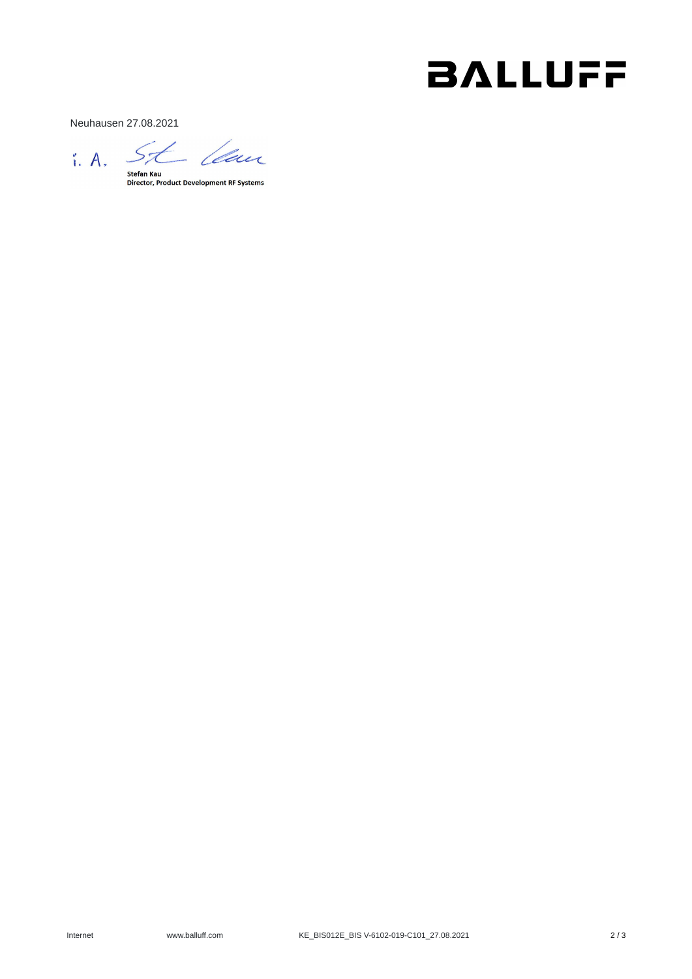### **BALLUFF**

Neuhausen 27.08.2021

i. A. St lean

Stefan Kau<br>Director, Product Development RF Systems